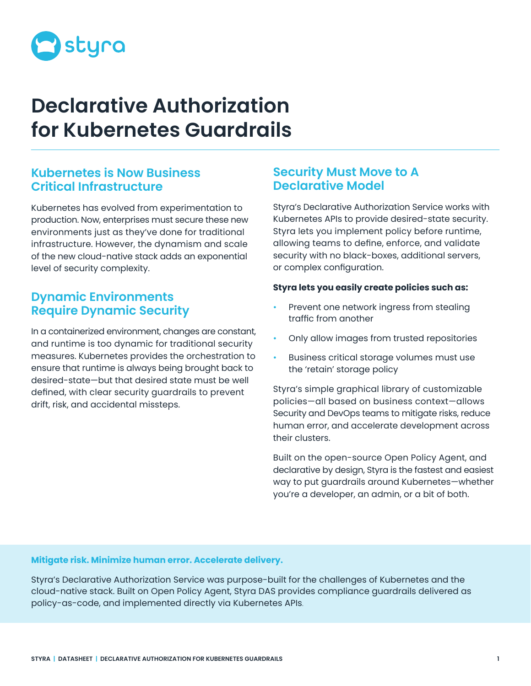

# **Declarative Authorization for Kubernetes Guardrails**

### **Kubernetes is Now Business Critical Infrastructure**

Kubernetes has evolved from experimentation to production. Now, enterprises must secure these new environments just as they've done for traditional infrastructure. However, the dynamism and scale of the new cloud-native stack adds an exponential level of security complexity.

## **Dynamic Environments Require Dynamic Security**

In a containerized environment, changes are constant, and runtime is too dynamic for traditional security measures. Kubernetes provides the orchestration to ensure that runtime is always being brought back to desired-state—but that desired state must be well defined, with clear security guardrails to prevent drift, risk, and accidental missteps.

## **Security Must Move to A Declarative Model**

Styra's Declarative Authorization Service works with Kubernetes APIs to provide desired-state security. Styra lets you implement policy before runtime, allowing teams to define, enforce, and validate security with no black-boxes, additional servers, or complex configuration.

#### **Styra lets you easily create policies such as:**

- Prevent one network ingress from stealing traffic from another
- Only allow images from trusted repositories
- Business critical storage volumes must use the 'retain' storage policy

Styra's simple graphical library of customizable policies—all based on business context—allows Security and DevOps teams to mitigate risks, reduce human error, and accelerate development across their clusters.

Built on the open-source Open Policy Agent, and declarative by design, Styra is the fastest and easiest way to put guardrails around Kubernetes—whether you're a developer, an admin, or a bit of both.

#### **Mitigate risk. Minimize human error. Accelerate delivery.**

Styra's Declarative Authorization Service was purpose-built for the challenges of Kubernetes and the cloud-native stack. Built on Open Policy Agent, Styra DAS provides compliance guardrails delivered as policy-as-code, and implemented directly via Kubernetes APIs.